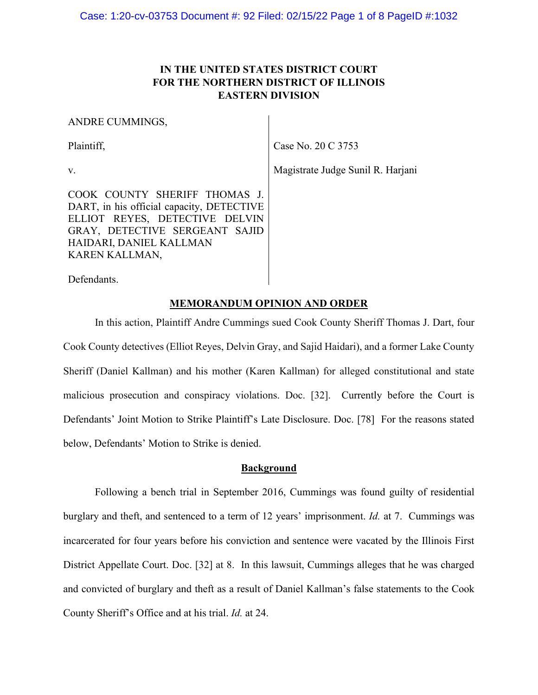## **IN THE UNITED STATES DISTRICT COURT FOR THE NORTHERN DISTRICT OF ILLINOIS EASTERN DIVISION**

#### ANDRE CUMMINGS,

Plaintiff, Plaintiff, Plaintiff, Plaintiff, Plaintiff, Plaintiff, Plaintiff, Plaintiff, Plaintiff, Plaintiff, Plaintiff, Plaintiff, Plaintiff, Plaintiff, Plaintiff, Plaintiff, Plaintiff, Plaintiff, Plaintiff, Plaintiff, Pl

v.

COOK COUNTY SHERIFF THOMAS J. DART, in his official capacity, DETECTIVE ELLIOT REYES, DETECTIVE DELVIN GRAY, DETECTIVE SERGEANT SAJID HAIDARI, DANIEL KALLMAN KAREN KALLMAN,

Defendants.

### **MEMORANDUM OPINION AND ORDER**

In this action, Plaintiff Andre Cummings sued Cook County Sheriff Thomas J. Dart, four Cook County detectives (Elliot Reyes, Delvin Gray, and Sajid Haidari), and a former Lake County Sheriff (Daniel Kallman) and his mother (Karen Kallman) for alleged constitutional and state malicious prosecution and conspiracy violations. Doc. [32]. Currently before the Court is Defendants' Joint Motion to Strike Plaintiff's Late Disclosure. Doc. [78] For the reasons stated below, Defendants' Motion to Strike is denied.

### **Background**

Following a bench trial in September 2016, Cummings was found guilty of residential burglary and theft, and sentenced to a term of 12 years' imprisonment. *Id.* at 7. Cummings was incarcerated for four years before his conviction and sentence were vacated by the Illinois First District Appellate Court. Doc. [32] at 8. In this lawsuit, Cummings alleges that he was charged and convicted of burglary and theft as a result of Daniel Kallman's false statements to the Cook County Sheriff's Office and at his trial. *Id.* at 24.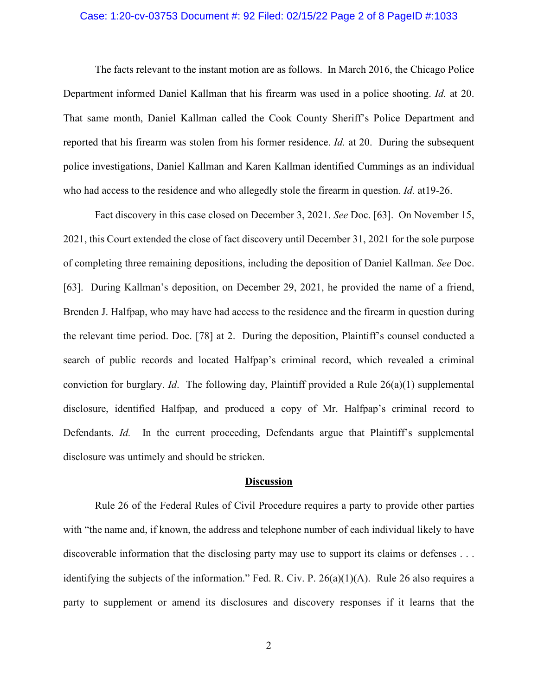#### Case: 1:20-cv-03753 Document #: 92 Filed: 02/15/22 Page 2 of 8 PageID #:1033

The facts relevant to the instant motion are as follows. In March 2016, the Chicago Police Department informed Daniel Kallman that his firearm was used in a police shooting. *Id.* at 20. That same month, Daniel Kallman called the Cook County Sheriff's Police Department and reported that his firearm was stolen from his former residence. *Id.* at 20. During the subsequent police investigations, Daniel Kallman and Karen Kallman identified Cummings as an individual who had access to the residence and who allegedly stole the firearm in question. *Id.* at19-26.

Fact discovery in this case closed on December 3, 2021. *See* Doc. [63]. On November 15, 2021, this Court extended the close of fact discovery until December 31, 2021 for the sole purpose of completing three remaining depositions, including the deposition of Daniel Kallman. *See* Doc. [63]. During Kallman's deposition, on December 29, 2021, he provided the name of a friend, Brenden J. Halfpap, who may have had access to the residence and the firearm in question during the relevant time period. Doc. [78] at 2. During the deposition, Plaintiff's counsel conducted a search of public records and located Halfpap's criminal record, which revealed a criminal conviction for burglary. *Id*. The following day, Plaintiff provided a Rule 26(a)(1) supplemental disclosure, identified Halfpap, and produced a copy of Mr. Halfpap's criminal record to Defendants. *Id.* In the current proceeding, Defendants argue that Plaintiff's supplemental disclosure was untimely and should be stricken.

#### **Discussion**

Rule 26 of the Federal Rules of Civil Procedure requires a party to provide other parties with "the name and, if known, the address and telephone number of each individual likely to have discoverable information that the disclosing party may use to support its claims or defenses . . . identifying the subjects of the information." Fed. R. Civ. P. 26(a)(1)(A). Rule 26 also requires a party to supplement or amend its disclosures and discovery responses if it learns that the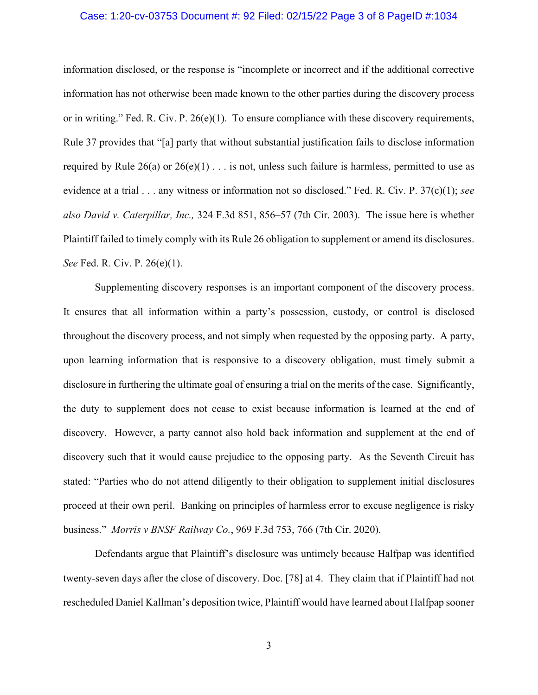#### Case: 1:20-cv-03753 Document #: 92 Filed: 02/15/22 Page 3 of 8 PageID #:1034

information disclosed, or the response is "incomplete or incorrect and if the additional corrective information has not otherwise been made known to the other parties during the discovery process or in writing." Fed. R. Civ. P. 26(e)(1). To ensure compliance with these discovery requirements, Rule 37 provides that "[a] party that without substantial justification fails to disclose information required by Rule  $26(a)$  or  $26(e)(1)$ ... is not, unless such failure is harmless, permitted to use as evidence at a trial . . . any witness or information not so disclosed." Fed. R. Civ. P. 37(c)(1); *see also David v. Caterpillar, Inc.,* 324 F.3d 851, 856–57 (7th Cir. 2003). The issue here is whether Plaintiff failed to timely comply with its Rule 26 obligation to supplement or amend its disclosures. *See* Fed. R. Civ. P. 26(e)(1).

Supplementing discovery responses is an important component of the discovery process. It ensures that all information within a party's possession, custody, or control is disclosed throughout the discovery process, and not simply when requested by the opposing party. A party, upon learning information that is responsive to a discovery obligation, must timely submit a disclosure in furthering the ultimate goal of ensuring a trial on the merits of the case. Significantly, the duty to supplement does not cease to exist because information is learned at the end of discovery. However, a party cannot also hold back information and supplement at the end of discovery such that it would cause prejudice to the opposing party. As the Seventh Circuit has stated: "Parties who do not attend diligently to their obligation to supplement initial disclosures proceed at their own peril. Banking on principles of harmless error to excuse negligence is risky business." *Morris v BNSF Railway Co.*, 969 F.3d 753, 766 (7th Cir. 2020).

Defendants argue that Plaintiff's disclosure was untimely because Halfpap was identified twenty-seven days after the close of discovery. Doc. [78] at 4. They claim that if Plaintiff had not rescheduled Daniel Kallman's deposition twice, Plaintiff would have learned about Halfpap sooner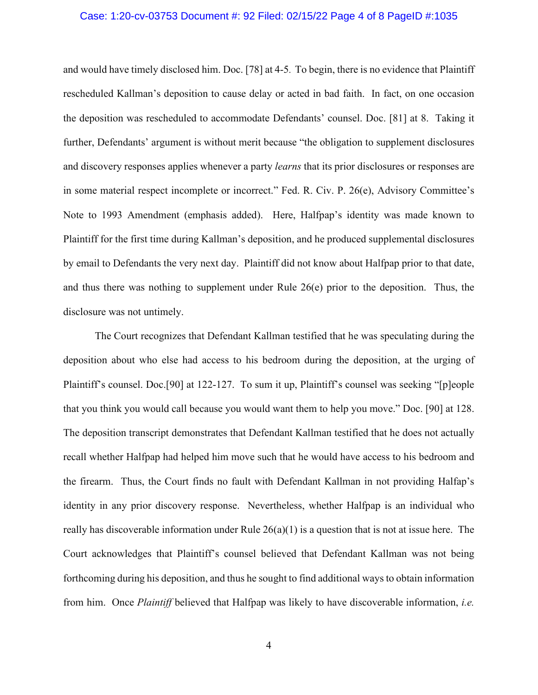#### Case: 1:20-cv-03753 Document #: 92 Filed: 02/15/22 Page 4 of 8 PageID #:1035

and would have timely disclosed him. Doc. [78] at 4-5. To begin, there is no evidence that Plaintiff rescheduled Kallman's deposition to cause delay or acted in bad faith. In fact, on one occasion the deposition was rescheduled to accommodate Defendants' counsel. Doc. [81] at 8. Taking it further, Defendants' argument is without merit because "the obligation to supplement disclosures and discovery responses applies whenever a party *learns* that its prior disclosures or responses are in some material respect incomplete or incorrect." Fed. R. Civ. P. 26(e), Advisory Committee's Note to 1993 Amendment (emphasis added). Here, Halfpap's identity was made known to Plaintiff for the first time during Kallman's deposition, and he produced supplemental disclosures by email to Defendants the very next day. Plaintiff did not know about Halfpap prior to that date, and thus there was nothing to supplement under Rule  $26(e)$  prior to the deposition. Thus, the disclosure was not untimely.

The Court recognizes that Defendant Kallman testified that he was speculating during the deposition about who else had access to his bedroom during the deposition, at the urging of Plaintiff's counsel. Doc.[90] at 122-127. To sum it up, Plaintiff's counsel was seeking "[p]eople that you think you would call because you would want them to help you move." Doc. [90] at 128. The deposition transcript demonstrates that Defendant Kallman testified that he does not actually recall whether Halfpap had helped him move such that he would have access to his bedroom and the firearm. Thus, the Court finds no fault with Defendant Kallman in not providing Halfap's identity in any prior discovery response. Nevertheless, whether Halfpap is an individual who really has discoverable information under Rule  $26(a)(1)$  is a question that is not at issue here. The Court acknowledges that Plaintiff's counsel believed that Defendant Kallman was not being forthcoming during his deposition, and thus he sought to find additional ways to obtain information from him. Once *Plaintiff* believed that Halfpap was likely to have discoverable information, *i.e.*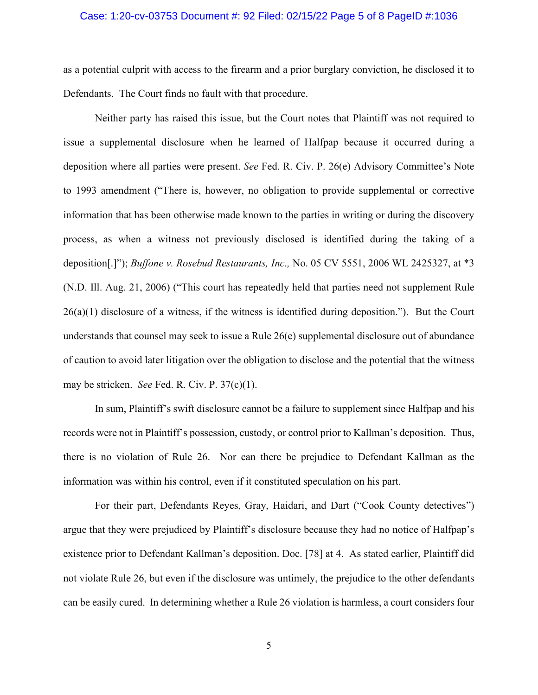#### Case: 1:20-cv-03753 Document #: 92 Filed: 02/15/22 Page 5 of 8 PageID #:1036

as a potential culprit with access to the firearm and a prior burglary conviction, he disclosed it to Defendants. The Court finds no fault with that procedure.

Neither party has raised this issue, but the Court notes that Plaintiff was not required to issue a supplemental disclosure when he learned of Halfpap because it occurred during a deposition where all parties were present. *See* Fed. R. Civ. P. 26(e) Advisory Committee's Note to 1993 amendment ("There is, however, no obligation to provide supplemental or corrective information that has been otherwise made known to the parties in writing or during the discovery process, as when a witness not previously disclosed is identified during the taking of a deposition[.]"); *Buffone v. Rosebud Restaurants, Inc.,* No. 05 CV 5551, 2006 WL 2425327, at \*3 (N.D. Ill. Aug. 21, 2006) ("This court has repeatedly held that parties need not supplement Rule  $26(a)(1)$  disclosure of a witness, if the witness is identified during deposition."). But the Court understands that counsel may seek to issue a Rule  $26(e)$  supplemental disclosure out of abundance of caution to avoid later litigation over the obligation to disclose and the potential that the witness may be stricken. *See* Fed. R. Civ. P. 37(c)(1).

In sum, Plaintiff's swift disclosure cannot be a failure to supplement since Halfpap and his records were not in Plaintiff's possession, custody, or control prior to Kallman's deposition. Thus, there is no violation of Rule 26. Nor can there be prejudice to Defendant Kallman as the information was within his control, even if it constituted speculation on his part.

For their part, Defendants Reyes, Gray, Haidari, and Dart ("Cook County detectives") argue that they were prejudiced by Plaintiff's disclosure because they had no notice of Halfpap's existence prior to Defendant Kallman's deposition. Doc. [78] at 4. As stated earlier, Plaintiff did not violate Rule 26, but even if the disclosure was untimely, the prejudice to the other defendants can be easily cured. In determining whether a Rule 26 violation is harmless, a court considers four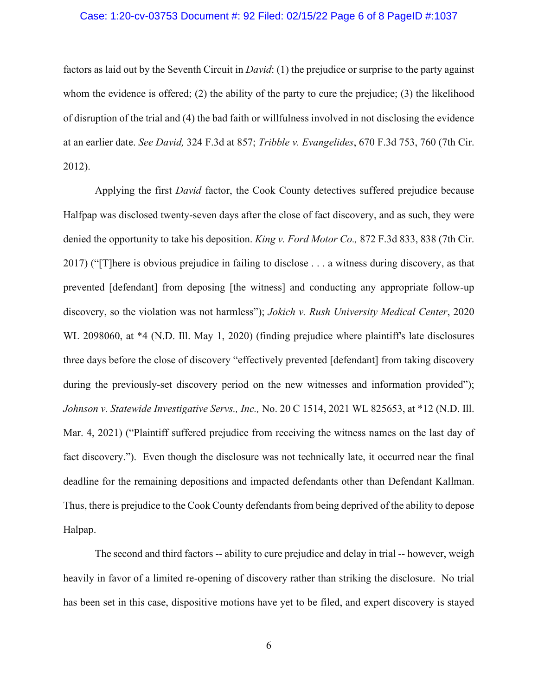#### Case: 1:20-cv-03753 Document #: 92 Filed: 02/15/22 Page 6 of 8 PageID #:1037

factors as laid out by the Seventh Circuit in *David*: (1) the prejudice or surprise to the party against whom the evidence is offered; (2) the ability of the party to cure the prejudice; (3) the likelihood of disruption of the trial and (4) the bad faith or willfulness involved in not disclosing the evidence at an earlier date. *See David,* 324 F.3d at 857; *Tribble v. Evangelides*, 670 F.3d 753, 760 (7th Cir. 2012).

Applying the first *David* factor, the Cook County detectives suffered prejudice because Halfpap was disclosed twenty-seven days after the close of fact discovery, and as such, they were denied the opportunity to take his deposition. *King v. Ford Motor Co.,* 872 F.3d 833, 838 (7th Cir. 2017) ("[T]here is obvious prejudice in failing to disclose . . . a witness during discovery, as that prevented [defendant] from deposing [the witness] and conducting any appropriate follow-up discovery, so the violation was not harmless"); *Jokich v. Rush University Medical Center*, 2020 WL 2098060, at \*4 (N.D. Ill. May 1, 2020) (finding prejudice where plaintiff's late disclosures three days before the close of discovery "effectively prevented [defendant] from taking discovery during the previously-set discovery period on the new witnesses and information provided"); *Johnson v. Statewide Investigative Servs., Inc.,* No. 20 C 1514, 2021 WL 825653, at \*12 (N.D. Ill. Mar. 4, 2021) ("Plaintiff suffered prejudice from receiving the witness names on the last day of fact discovery."). Even though the disclosure was not technically late, it occurred near the final deadline for the remaining depositions and impacted defendants other than Defendant Kallman. Thus, there is prejudice to the Cook County defendants from being deprived of the ability to depose Halpap.

The second and third factors -- ability to cure prejudice and delay in trial -- however, weigh heavily in favor of a limited re-opening of discovery rather than striking the disclosure. No trial has been set in this case, dispositive motions have yet to be filed, and expert discovery is stayed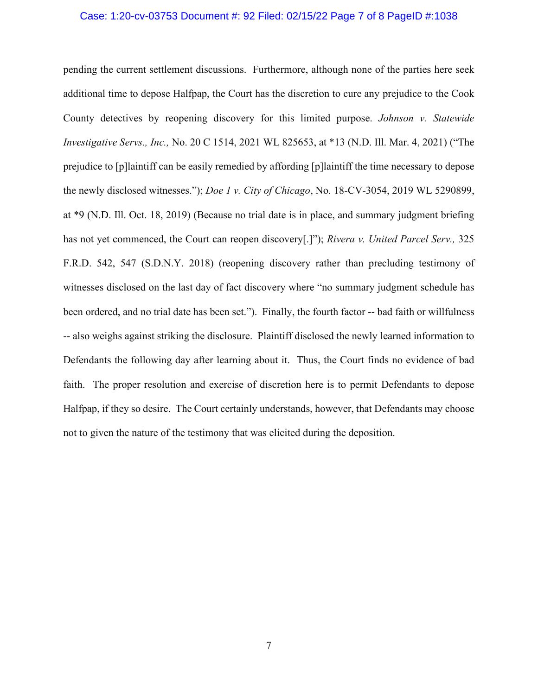#### Case: 1:20-cv-03753 Document #: 92 Filed: 02/15/22 Page 7 of 8 PageID #:1038

pending the current settlement discussions. Furthermore, although none of the parties here seek additional time to depose Halfpap, the Court has the discretion to cure any prejudice to the Cook County detectives by reopening discovery for this limited purpose. *Johnson v. Statewide Investigative Servs., Inc.,* No. 20 C 1514, 2021 WL 825653, at \*13 (N.D. Ill. Mar. 4, 2021) ("The prejudice to [p]laintiff can be easily remedied by affording [p]laintiff the time necessary to depose the newly disclosed witnesses."); *Doe 1 v. City of Chicago*, No. 18-CV-3054, 2019 WL 5290899, at \*9 (N.D. Ill. Oct. 18, 2019) (Because no trial date is in place, and summary judgment briefing has not yet commenced, the Court can reopen discovery[.]"); *Rivera v. United Parcel Serv.,* 325 F.R.D. 542, 547 (S.D.N.Y. 2018) (reopening discovery rather than precluding testimony of witnesses disclosed on the last day of fact discovery where "no summary judgment schedule has been ordered, and no trial date has been set."). Finally, the fourth factor -- bad faith or willfulness -- also weighs against striking the disclosure. Plaintiff disclosed the newly learned information to Defendants the following day after learning about it. Thus, the Court finds no evidence of bad faith. The proper resolution and exercise of discretion here is to permit Defendants to depose Halfpap, if they so desire. The Court certainly understands, however, that Defendants may choose not to given the nature of the testimony that was elicited during the deposition.